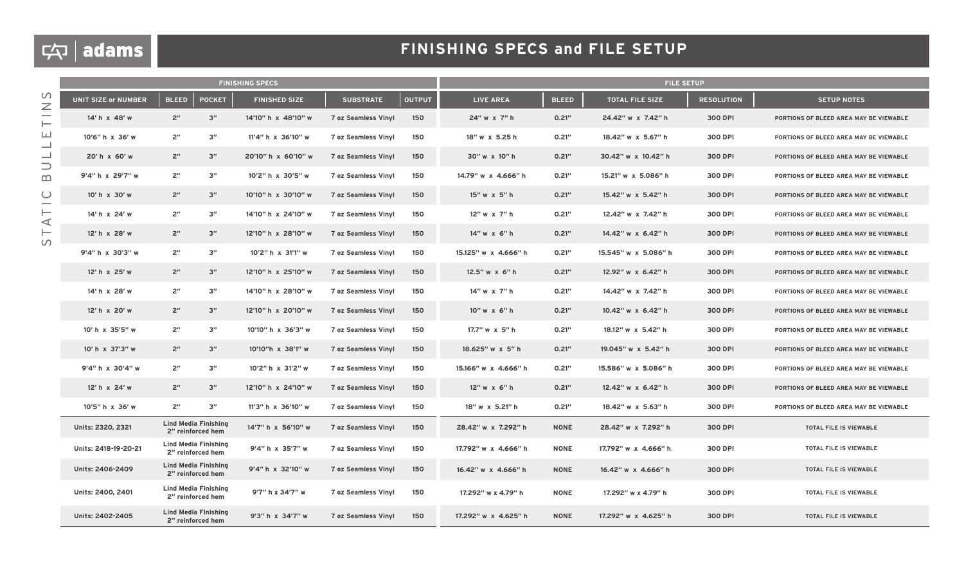# $\boxed{\varphi}$  adams

|                                   | <b>FINISHING SPECS</b>     |                 |                                                  |                      |                            |               | <b>FILE SETUP</b>      |              |                        |                   |                                        |
|-----------------------------------|----------------------------|-----------------|--------------------------------------------------|----------------------|----------------------------|---------------|------------------------|--------------|------------------------|-------------------|----------------------------------------|
| $\cup$<br>$\overline{\mathbb{Z}}$ | <b>UNIT SIZE or NUMBER</b> | <b>BLEED</b>    | <b>POCKET</b>                                    | <b>FINISHED SIZE</b> | <b>SUBSTRATE</b>           | <b>OUTPUT</b> | <b>LIVE AREA</b>       | <b>BLEED</b> | <b>TOTAL FILE SIZE</b> | <b>RESOLUTION</b> | <b>SETUP NOTES</b>                     |
| -<br>⊢<br>ш<br>ᆜ<br>ᆜ             | 14' h x 48' w              | 2 <sup>n</sup>  | 3"                                               | 14'10" h x 48'10" w  | <b>7 oz Seamless Vinyl</b> | 150           | 24" w x 7" h           | 0.21''       | 24.42" w x 7.42" h     | 300 DPI           | PORTIONS OF BLEED AREA MAY BE VIEWABLE |
|                                   | 10'6" h x 36' w            | 2 <sup>n</sup>  | 3"                                               | 11'4" h x 36'10" w   | <b>7 oz Seamless Vinyl</b> | 150           | 18" w x 5.25 h         | 0.21"        | 18.42" w x 5.67" h     | 300 DPI           | PORTIONS OF BLEED AREA MAY BE VIEWABLE |
|                                   | 20'h x 60'w                | 2"              | 3"                                               | 20'10" h x 60'10" w  | <b>7 oz Seamless Vinyl</b> | 150           | 30" w x 10" h          | 0.21''       | 30.42" w x 10.42" h    | 300 DPI           | PORTIONS OF BLEED AREA MAY BE VIEWABLE |
| $\supset$<br>$\mathbf m$          | 9'4" h x 29'7" w           | 2 <sup>''</sup> | 3"                                               | 10'2" h x 30'5" w    | <b>7 oz Seamless Vinyl</b> | 150           | 14.79" w x 4.666" h    | 0.21"        | 15.21" w x 5.086" h    | 300 DPI           | PORTIONS OF BLEED AREA MAY BE VIEWABLE |
| $\cup$                            | 10' h x 30' w              | 2 <sup>n</sup>  | 3"                                               | 10'10" h x 30'10" w  | <b>7 oz Seamless Vinyl</b> | 150           | 15" w x 5" h           | 0.21''       | 15.42" w x 5.42" h     | 300 DPI           | PORTIONS OF BLEED AREA MAY BE VIEWABLE |
| $\vdash$<br>$\prec$               | 14' h x 24' w              | 2"              | 3"                                               | 14'10" h x 24'10" w  | <b>7 oz Seamless Vinyl</b> | 150           | 12" w x 7" h           | 0.21"        | 12.42" w x 7.42" h     | 300 DPI           | PORTIONS OF BLEED AREA MAY BE VIEWABLE |
| ⊢<br>$\circ$                      | 12' h x 28' w              | 2 <sup>n</sup>  | 3"                                               | 12'10" h x 28'10" w  | <b>7 oz Seamless Vinyl</b> | 150           | 14" w x 6" h           | 0.21''       | 14.42" w x 6.42" h     | 300 DPI           | PORTIONS OF BLEED AREA MAY BE VIEWABLE |
|                                   | 9'4" h x 30'3" w           | 2 <sup>n</sup>  | 3"                                               | 10'2" h x 31'1" w    | <b>7 oz Seamless Vinyl</b> | 150           | 15.125" w x 4.666" h   | 0.21''       | 15.545" w x 5.086" h   | 300 DPI           | PORTIONS OF BLEED AREA MAY BE VIEWABLE |
|                                   | 12' h x 25' w              | 2"              | 3"                                               | 12'10" h x 25'10" w  | <b>7 oz Seamless Vinyl</b> | 150           | 12.5" w x 6" h         | 0.21''       | 12.92" w x 6.42" h     | 300 DPI           | PORTIONS OF BLEED AREA MAY BE VIEWABLE |
|                                   | 14' h x 28' w              | 2 <sup>''</sup> | 3"                                               | 14'10" h x 28'10" w  | <b>7 oz Seamless Vinyl</b> | 150           | 14" w x 7" h           | 0.21"        | 14.42" w x 7.42" h     | 300 DPI           | PORTIONS OF BLEED AREA MAY BE VIEWABLE |
|                                   | 12' h x 20' w              | 2 <sup>n</sup>  | 3"                                               | 12'10" h x 20'10" w  | <b>7 oz Seamless Vinyl</b> | 150           | 10" w x 6" h           | 0.21''       | 10.42" w x 6.42" h     | 300 DPI           | PORTIONS OF BLEED AREA MAY BE VIEWABLE |
|                                   | 10' h x 35'5" w            | 2 <sup>n</sup>  | 3"                                               | 10'10" h x 36'3" w   | <b>7 oz Seamless Vinyl</b> | 150           | 17.7" w x 5" h         | 0.21''       | 18.12" w x 5.42" h     | 300 DPI           | PORTIONS OF BLEED AREA MAY BE VIEWABLE |
|                                   | 10' h x 37'3" w            | 2 <sup>''</sup> | 3"                                               | 10'10"h x 38'1" w    | <b>7 oz Seamless Vinyl</b> | 150           | 18.625" w x 5" h       | 0.21''       | 19.045" w x 5.42" h    | 300 DPI           | PORTIONS OF BLEED AREA MAY BE VIEWABLE |
|                                   | 9'4" h x 30'4" w           | 2 <sup>''</sup> | 3"                                               | 10'2" h x 31'2" w    | <b>7 oz Seamless Vinyl</b> | 150           | 15.166" w x 4.666" h   | 0.21"        | 15.586" w x 5.086" h   | 300 DPI           | PORTIONS OF BLEED AREA MAY BE VIEWABLE |
|                                   | 12' h x 24' w              | 2 <sup>''</sup> | 3"                                               | 12'10" h x 24'10" w  | <b>7 oz Seamless Vinyl</b> | 150           | $12''$ w $\times$ 6" h | 0.21"        | 12.42" w x 6.42" h     | 300 DPI           | PORTIONS OF BLEED AREA MAY BE VIEWABLE |
|                                   | 10'5" h x 36' w            | 2 <sup>''</sup> | 3"                                               | 11'3" h x 36'10" w   | <b>7 oz Seamless Vinyl</b> | 150           | 18" w x 5.21" h        | 0.21"        | 18.42" w x 5.63" h     | 300 DPI           | PORTIONS OF BLEED AREA MAY BE VIEWABLE |
|                                   | Units: 2320, 2321          |                 | <b>Lind Media Finishing</b><br>2" reinforced hem | 14'7" h x 56'10" w   | <b>7 oz Seamless Vinyl</b> | 150           | 28.42" w x 7.292" h    | <b>NONE</b>  | 28.42" w x 7.292" h    | 300 DPI           | <b>TOTAL FILE IS VIEWABLE</b>          |
|                                   | Units: 2418-19-20-21       |                 | <b>Lind Media Finishing</b><br>2" reinforced hem | 9'4" h x 35'7" w     | <b>7 oz Seamless Vinyl</b> | 150           | 17.792" w x 4.666" h   | <b>NONE</b>  | 17.792" w x 4.666" h   | 300 DPI           | TOTAL FILE IS VIEWABLE                 |
|                                   | Units: 2406-2409           |                 | <b>Lind Media Finishing</b><br>2" reinforced hem | 9'4" h x 32'10" w    | <b>7 oz Seamless Vinyl</b> | 150           | 16.42" w x 4.666" h    | <b>NONE</b>  | 16.42" w x 4.666" h    | 300 DPI           | TOTAL FILE IS VIEWABLE                 |
|                                   | Units: 2400, 2401          |                 | <b>Lind Media Finishing</b><br>2" reinforced hem | 9'7" h x 34'7" w     | <b>7 oz Seamless Vinyl</b> | 150           | 17.292" w x 4.79" h    | <b>NONE</b>  | 17.292" w x 4.79" h    | 300 DPI           | TOTAL FILE IS VIEWABLE                 |
|                                   | Units: 2402-2405           |                 | <b>Lind Media Finishing</b><br>2" reinforced hem | 9'3" h x 34'7" w     | <b>7 oz Seamless Vinyl</b> | 150           | 17.292" w x 4.625" h   | <b>NONE</b>  | 17.292" w x 4.625" h   | 300 DPI           | TOTAL FILE IS VIEWABLE                 |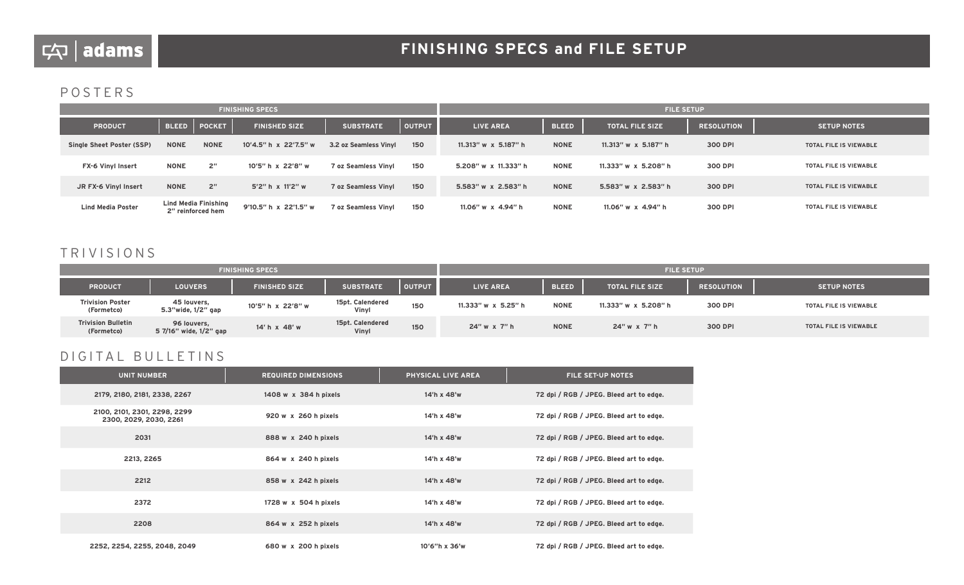## POSTERS

|                                  |              | <b>FINISHING SPECS</b>                           |                       |                            | <b>FILE SETUP</b> |                         |              |                         |                   |                               |
|----------------------------------|--------------|--------------------------------------------------|-----------------------|----------------------------|-------------------|-------------------------|--------------|-------------------------|-------------------|-------------------------------|
| <b>PRODUCT</b>                   | <b>BLEED</b> | <b>POCKET</b>                                    | <b>FINISHED SIZE</b>  | <b>SUBSTRATE</b>           | <b>OUTPUT</b>     | <b>LIVE AREA</b>        | <b>BLEED</b> | <b>TOTAL FILE SIZE</b>  | <b>RESOLUTION</b> | <b>SETUP NOTES</b>            |
| <b>Single Sheet Poster (SSP)</b> | <b>NONE</b>  | <b>NONE</b>                                      | 10'4.5" h x 22'7.5" w | 3.2 oz Seamless Vinyl      | 150               | $11.313''$ w x 5.187" h | <b>NONE</b>  | $11.313''$ w x 5.187" h | 300 DPI           | <b>TOTAL FILE IS VIEWABLE</b> |
| <b>FX-6 Vinyl Insert</b>         | <b>NONE</b>  | 2 <sup>''</sup>                                  | 10'5" h x 22'8" w     | <b>7 oz Seamless Vinvl</b> | 150               | 5.208" w x 11.333" h    | <b>NONE</b>  | 11.333" w x 5.208" h    | 300 DPI           | TOTAL FILE IS VIEWABLE        |
| JR FX-6 Vinyl Insert             | <b>NONE</b>  | 2 <sup>''</sup>                                  | 5'2" h x 11'2" w      | 7 oz Seamless Vinyl        | 150               | 5.583" w x 2.583" h     | <b>NONE</b>  | 5.583" w x 2.583" h     | 300 DPI           | TOTAL FILE IS VIEWABLE        |
| <b>Lind Media Poster</b>         |              | <b>Lind Media Finishing</b><br>2" reinforced hem | 9'10.5" h x 22'1.5" w | 7 oz Seamless Vinyl        | 150               | 11.06" w x 4.94" h      | <b>NONE</b>  | 11.06" w x 4.94" h      | 300 DPI           | TOTAL FILE IS VIEWABLE        |

## TRIVISIONS

|                                         |                                       | <b>FINISHING SPECS</b> |                           |               | <b>FILE SETUP</b>   |              |                        |                   |                        |  |
|-----------------------------------------|---------------------------------------|------------------------|---------------------------|---------------|---------------------|--------------|------------------------|-------------------|------------------------|--|
| <b>PRODUCT</b>                          | <b>LOUVERS</b>                        | <b>FINISHED SIZE</b>   | <b>SUBSTRATE</b>          | <b>OUTPUT</b> | <b>LIVE AREA</b>    | <b>BLEED</b> | <b>TOTAL FILE SIZE</b> | <b>RESOLUTION</b> | <b>SETUP NOTES</b>     |  |
| <b>Trivision Poster</b><br>(Formetco)   | 45 louvers,<br>5.3"wide, 1/2" gap     | 10'5" h x 22'8" w      | 15pt. Calendered<br>Vinyl | 150           | 11.333" w x 5.25" h | <b>NONE</b>  | 11.333" w x 5.208" h   | 300 DPI           | TOTAL FILE IS VIEWABLE |  |
| <b>Trivision Bulletin</b><br>(Formetco) | 96 louvers,<br>5 7/16" wide, 1/2" gap | 14' h x 48' w          | 15pt. Calendered<br>Vinyl | 150           | 24" w x 7" h        | <b>NONE</b>  | 24" w x 7" h           | 300 DPI           | TOTAL FILE IS VIEWABLE |  |

## DIGITAL BULLETINS

| <b>UNIT NUMBER</b>                                     | <b>REQUIRED DIMENSIONS</b> | PHYSICAL LIVE AREA | <b>FILE SET-UP NOTES</b>                |
|--------------------------------------------------------|----------------------------|--------------------|-----------------------------------------|
| 2179, 2180, 2181, 2338, 2267                           | 1408 w x 384 h pixels      | 14'h x 48'w        | 72 dpi / RGB / JPEG. Bleed art to edge. |
| 2100, 2101, 2301, 2298, 2299<br>2300, 2029, 2030, 2261 | 920 w x 260 h pixels       | 14'h x 48'w        | 72 dpi / RGB / JPEG. Bleed art to edge. |
| 2031                                                   | 888 w x 240 h pixels       | 14'h x 48'w        | 72 dpi / RGB / JPEG. Bleed art to edge. |
| 2213, 2265                                             | 864 w x 240 h pixels       | 14'h x 48'w        | 72 dpi / RGB / JPEG. Bleed art to edge. |
| 2212                                                   | 858 w x 242 h pixels       | 14'h x 48'w        | 72 dpi / RGB / JPEG. Bleed art to edge. |
| 2372                                                   | 1728 w x 504 h pixels      | 14'h x 48'w        | 72 dpi / RGB / JPEG. Bleed art to edge. |
| 2208                                                   | 864 w x 252 h pixels       | 14'h x 48'w        | 72 dpi / RGB / JPEG. Bleed art to edge. |
| 2252, 2254, 2255, 2048, 2049                           | 680 w x 200 h pixels       | 10'6"h x 36'w      | 72 dpi / RGB / JPEG. Bleed art to edge. |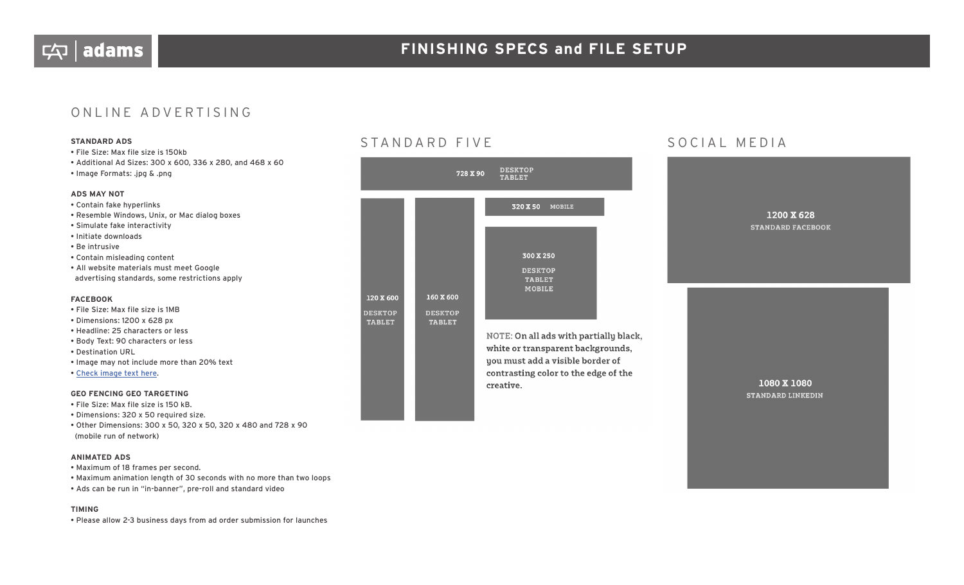## ONLINE ADVERTISING

- File Size: Max file size is 150kb
- Additional Ad Sizes: 300 x 600, 336 x 280, and 468 x 60
- Image Formats: .jpg & .png

#### **ADS MAY NOT**

#### • Contain fake hyperlinks

- Resemble Windows, Unix, or Mac dialog boxes
- Simulate fake interactivity
- Initiate downloads
- Be intrusive
- Contain misleading content
- All website materials must meet Google advertising standards, some restrictions apply

#### **FACEBOOK**

- File Size: Max file size is 1MB
- Dimensions: 1200 x 628 px
- Headline: 25 characters or less
- Body Text: 90 characters or less
- Destination URL
- Image may not include more than 20% text
- Check image text here.

#### **GEO FENCING GEO TARGETING**

- File Size: Max file size is 150 kB.
- Dimensions: 320 x 50 required size.
- Other Dimensions: 300 x 50, 320 x 50, 320 x 480 and 728 x 90 (mobile run of network)

#### **ANIMATED ADS**

- Maximum of 18 frames per second.
- Maximum animation length of 30 seconds with no more than two loops
- Ads can be run in "in-banner", pre-roll and standard video

#### **TIMING**

• Please allow 2-3 business days from ad order submission for launches

## **STANDARD ADS** STANDARD FIVE SOCIAL MEDIA



NOTE: On all ads with partially black, white or transparent backgrounds, you must add a visible border of contrasting color to the edge of the creative.

## 1200 X 628 **STANDARD FACEBOOK**

1080 X 1080 **STANDARD LINKEDIN**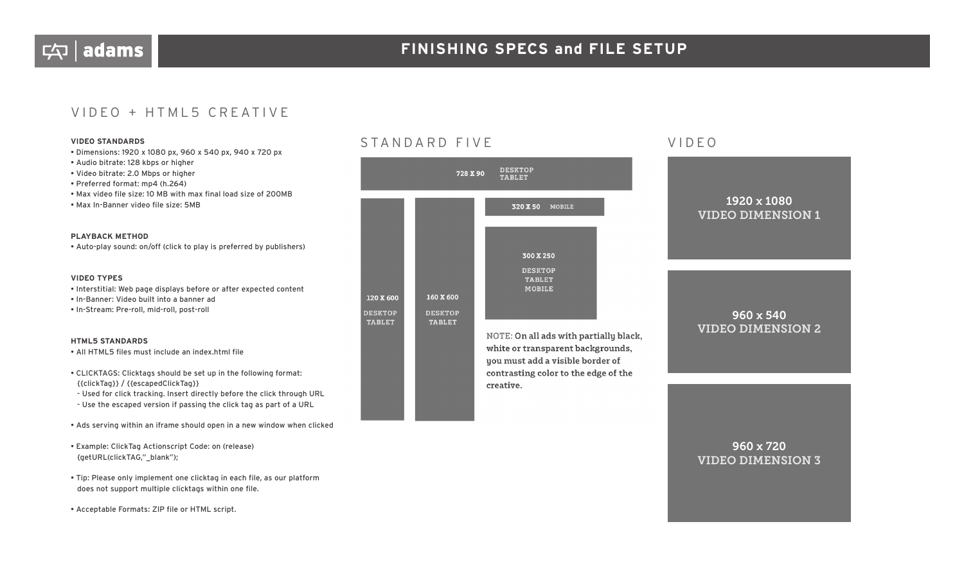## VIDEO + HTML5 CREATIVE

- Dimensions: 1920 x 1080 px, 960 x 540 px, 940 x 720 px
- Audio bitrate: 128 kbps or higher
- Video bitrate: 2.0 Mbps or higher
- Preferred format: mp4 (h.264)
- Max video file size: 10 MB with max final load size of 200MB
- Max In-Banner video file size: 5MB

#### **PLAYBACK METHOD**

• Auto-play sound: on/off (click to play is preferred by publishers)

#### **VIDEO TYPES**

- Interstitial: Web page displays before or after expected content
- In-Banner: Video built into a banner ad
- In-Stream: Pre-roll, mid-roll, post-roll

#### **HTML5 STANDARDS**

- All HTML5 files must include an index.html file
- CLICKTAGS: Clicktags should be set up in the following format: {{clickTag}} / {{escapedClickTag}}
- Used for click tracking. Insert directly before the click through URL
- Use the escaped version if passing the click tag as part of a URL
- Ads serving within an iframe should open in a new window when clicked
- Example: ClickTag Actionscript Code: on (release) {getURL(clickTAG,"\_blank");
- Tip: Please only implement one clicktag in each file, as our platform does not support multiple clicktags within one file.
- Acceptable Formats: ZIP file or HTML script.

## **VIDEO STANDARDS** VIDEO STANDARD FIVE VIDEO



# 1920 x 1080 VIDEO DIMENSION 1

## 960 x 540 VIDEO DIMENSION 2

NOTE: On all ads with partially black, white or transparent backgrounds, you must add a visible border of contrasting color to the edge of the creative.

## 960 x 720 VIDEO DIMENSION 3